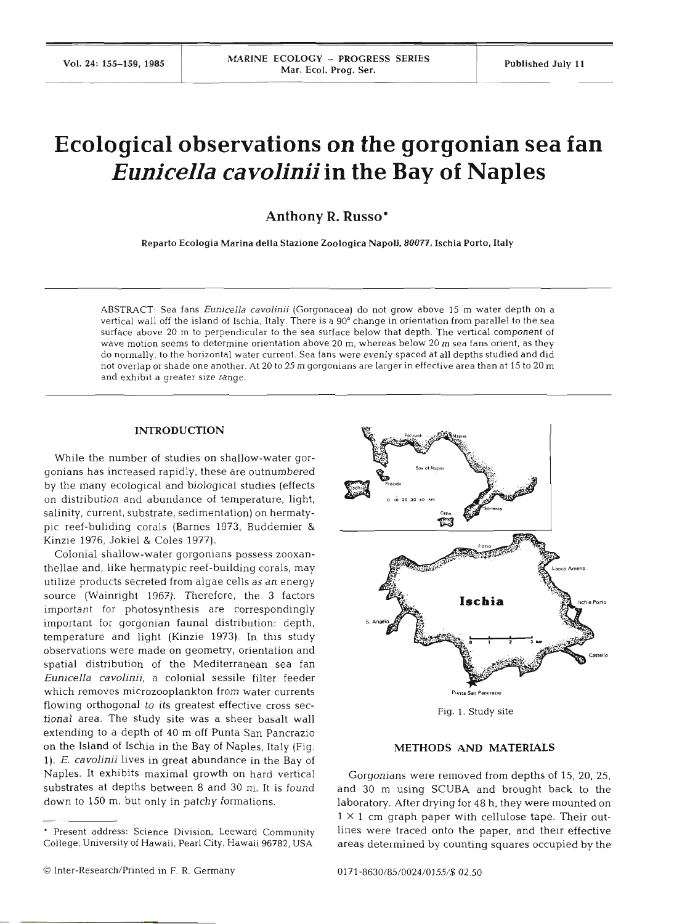# **Ecological observations on the gorgonian sea fan**  *Eunicella cavolinii* **in the Bay of Naples**

**Anthony R. Russo\*** 

Reparto Ecologia Marina della Stazione Zoologica Napoli. **80077,** Ischia Porto, **Italy** 

ABSTRACT: Sea fans **Eunicella cavolinii** (Gorgonacea) do not grow above 15 m water depth on a vertical wall off the island of Ischia, Italy. There is a **90"** change in orientation from parallel to the sea surface above 20 m to perpendicular to the sea surface below that depth. The vertical component of wave motion seems to determine orientation above 20 m, whereas below 20 m sea fans orient, as they do normally, to the horizontal water current. Sea fans were evenly spaced at all depths studied and did not overlap or shade one another. At 20 to 25 m gorgonians are larger in effective area than at 15 to 20 m and exhibit a greater size range.

## **INTRODUCTION**

While the number of studies on shallow-water gorgonians has increased rapidly, these are outnumbered by the many ecological and biological studies (effects on distribution and abundance of temperature, light, salinity, current, substrate, sedimentation) on hermatypic reef-buliding corals (Barnes **1973,** Buddemier & Kinzie 1976, Jokiel & Coles 1977).

Colonial shallow-water gorgonians possess zooxanthellae and, like hermatypic reef-building corals, may utilize products secreted from algae cells as an energy source (Wainright 1967). Therefore, the 3 factors important for photosynthesis are correspondingly important for gorgonian fauna1 distribution: depth, temperature and light (Kinzie **1973).** In this study observations were made on geometry, orientation and spatial distribution of the Mediterranean sea fan *Eunicella cavolinii,* a colonial sessile filter feeder which removes microzooplankton from water currents **Punta San Pancrazio** flowing orthogonal to its greatest effective cross sec- Fig. 1. Study site tional area. The study site was a sheer basalt wall extending to a depth of **40** m off Punta San Pancrazio on the Island of Ischia in the Bay of Naples, Italy (Fig. **METHODS AND MATERIALS**  *1). E. cavolinii* lives in great abundance in the Bay of Naples. It exhibits maximal growth on hard vertical Gorgonians were removed from depths of 15, 20, 25, substrates at depths between 8 and 30 m. It is found and 30 m using SCUBA and brought back to the



substrates at depths between **8** and **30 m.** It is found and **30** m using **SCUBA** and brought back to the laboratory. After drying for 48 h, they were mounted on  $1 \times 1$  cm graph paper with cellulose tape. Their out-Present address: Science Division, Leeward Community lines were traced onto the paper, and their effective College, University of Hawaii, Pearl City, Hawaii 96782. USA areas determined by counting squares occupied by the

*O* Inter-Research/Printed in F. R. Germany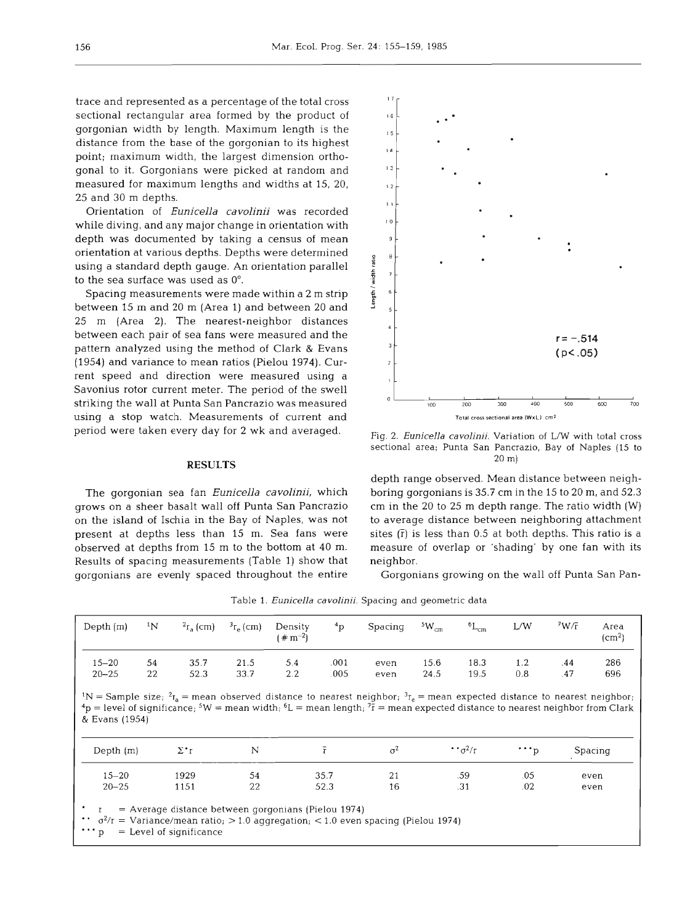trace and represented as a percentage of the total cross sectional rectangular area formed by the product of gorgonian width by length. Maximum length is the distance from the base of the gorgonian to its highest point; maximum width, the largest dimension orthogonal to it. Gorgonians were picked at random and measured for maximum lengths and widths at 15, 20, 25 and 30 m depths.

Orientation of *Eunicella cavolinii* was recorded while diving, and any major change in orientation with depth was documented by taking a census of mean orientation at various depths. Depths were determined using a standard depth gauge. An orientation parallel to the sea surface was used as 0".

Spacing measurements were made within a 2 m strip between 15 m and 20 m (Area 1) and between 20 and 25 m (Area 2). The nearest-neighbor distances between each pair of sea fans were measured and the pattern analyzed using the method of Clark & Evans (1954) and variance to mean ratios (Pielou 1974). Current speed and direction were measured using a Savonius rotor current meter. The period of the swell striking the wall at Punta San Pancrazio was measured using a stop watch. Measurements of current and period were taken every day for 2 wk and averaged.

#### **RESULTS**

The gorgonian sea fan *Eunicella cavolinii,* which grows on a sheer basalt wall off Punta San Pancrazio on the island of Ischia in the Bay of Naples, was not present at depths less than 15 m. Sea fans were observed at depths from 15 m to the bottom at 40 m. Results of spacing measurements (Table 1) show that gorgonians are evenly spaced throughout the entire



Fig. 2. *Eunicella cavolinii*. Variation of L/W with total cross sectional area; Punta San Pancrazio, Bay of Naples (15 to 20 m)

depth range observed. Mean distance between neighboring gorgonians is 35.7 cm in the 15 to 20 m, and 52.3 cm in the 20 to 25 m depth range. The ratio width (W) to average distance between neighboring attachment sites  $(\bar{r})$  is less than 0.5 at both depths. This ratio is a measure of overlap or 'shading' by one fan with its neighbor.

Gorgonians growing on the wall off Punta San Pan-

| Depth $(m)$                                                                                                                                                                                                                                                                                                                                    | 1 <sub>N</sub> | $r_{\rm s}$ (cm)                                                                   | $3r_a$ (cm)  | Density<br>$( 4 \text{ m}^{-2} )$ | $^{4}P$      | Spacing      | $5W_{cm}$    | ${}^6L_{cm}$             | L/W              | 7W/T       | Area<br>$\rm (cm^2)$ |
|------------------------------------------------------------------------------------------------------------------------------------------------------------------------------------------------------------------------------------------------------------------------------------------------------------------------------------------------|----------------|------------------------------------------------------------------------------------|--------------|-----------------------------------|--------------|--------------|--------------|--------------------------|------------------|------------|----------------------|
| $15 - 20$<br>$20 - 25$                                                                                                                                                                                                                                                                                                                         | 54<br>22       | 35.7<br>52.3                                                                       | 21.5<br>33.7 | 5.4<br>2.2                        | .001<br>.005 | even<br>even | 15.6<br>24.5 | 18.3<br>19.5             | 1.2<br>0.8       | .44<br>.47 | 286<br>696           |
| <sup>1</sup> N = Sample size; <sup>2</sup> r <sub>a</sub> = mean observed distance to nearest neighbor; <sup>3</sup> r <sub>e</sub> = mean expected distance to nearest neighbor;<br>$4p$ = level of significance, $5W$ = mean width, $6L$ = mean length, $7\bar{x}$ = mean expected distance to nearest neighbor from Clark<br>& Evans (1954) |                | $\Sigma^*$ r                                                                       | N            |                                   | $\bar{r}$    | $\sigma^2$   |              | $\cdot \cdot \sigma^2/r$ |                  |            |                      |
| Depth $(m)$                                                                                                                                                                                                                                                                                                                                    |                |                                                                                    |              |                                   |              |              |              |                          | $\cdots_{\rm p}$ |            | Spacing              |
| $15 - 20$                                                                                                                                                                                                                                                                                                                                      |                | 1929                                                                               | 54           |                                   | 35.7         | 21           |              | .59                      | .05              |            | even                 |
| $20 - 25$                                                                                                                                                                                                                                                                                                                                      |                | 1151                                                                               | 22           |                                   | 52.3         | 16           |              | .31                      | .02              |            | even                 |
| $\cdot \cdot \sigma^2$ = Variance/mean ratio; > 1.0 aggregation; < 1.0 even spacing (Pielou 1974)<br>$\cdots$ p                                                                                                                                                                                                                                |                | $=$ Average distance between gorgonians (Pielou 1974)<br>$=$ Level of significance |              |                                   |              |              |              |                          |                  |            |                      |

Table 1. *Eunicella cavolinii.* Spacing and geometric data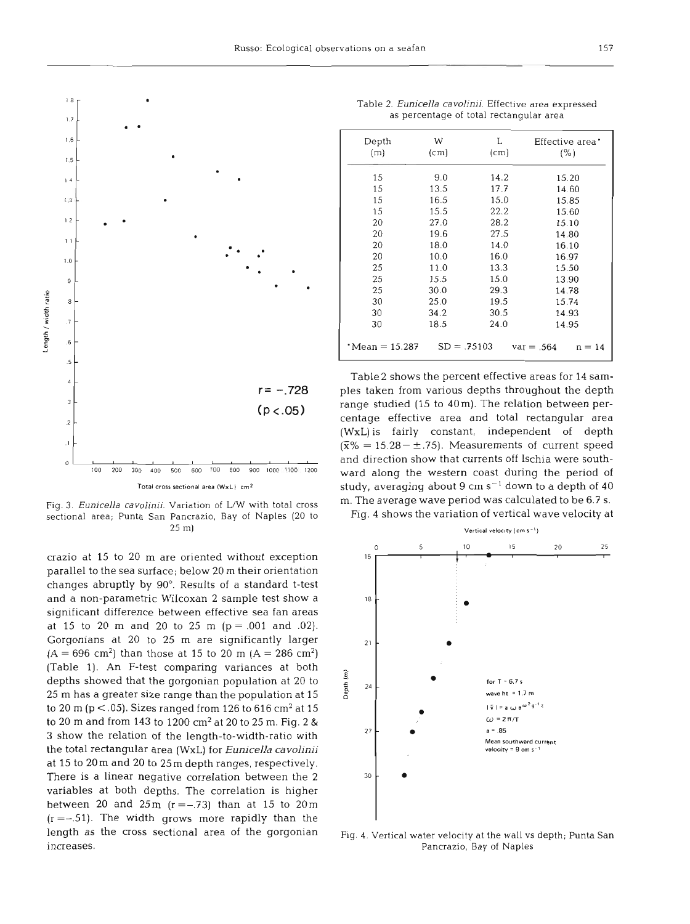

Fig. **3.** *Eunicella cavolinii.* Variation of L/W with total cross sectional area; Punta San Pancrazio, Bay of Naples **(20** to **25** m)

crazio at 15 to 20 m are oriented without exception parallel to the sea surface; below 20 m their orientation changes abruptly by 90". Results of a standard t-test and a non-parametric Wilcoxan 2 sample test show a significant difference between effective sea fan areas at 15 to 20 m and 20 to 25 m  $(p = .001$  and .02). Gorgonians at 20 to 25 m are significantly larger  $(A = 696 \text{ cm}^2)$  than those at 15 to 20 m  $(A = 286 \text{ cm}^2)$ (Table 1). An F-test comparing variances at both depths showed that the gorgonian population at 20 to 25 m has a greater size range than the population at 15 to 20 m (p  $<$  .05). Sizes ranged from 126 to 616 cm<sup>2</sup> at 15 to 20 m and from 143 to 1200 cm2 at 20 to 25 m. Fig. 2 & 3 show the relation of the length-to-width-ratio with the total rectangular area (WxL) for *Eunicella cavolinii*  at 15 to 20m and 20 to 25m depth ranges, respectively. There is a linear negative correlation between the 2 variables at both depths. The correlation is higher between 20 and 25m  $(r=-.73)$  than at 15 to 20m  $(r = -0.51)$ . The width grows more rapidly than the length as the cross sectional area of the gorgonian increases.

| Depth                    | W    | L             | Effective area'          |  |  |
|--------------------------|------|---------------|--------------------------|--|--|
| (m)                      | (cm) | (cm)          | (%)                      |  |  |
|                          |      |               |                          |  |  |
| 15                       | 9.0  | 14.2          | 15.20                    |  |  |
| 15                       | 13.5 | 17.7          | 14.60                    |  |  |
| 15                       | 16.5 | 15.0          | 15.85                    |  |  |
| 15                       | 15.5 | 22.2          | 15.60                    |  |  |
| 20                       | 27.0 | 28.2          | 15.10                    |  |  |
| 20                       | 19.6 | 27.5          | 14.80                    |  |  |
| 20                       | 18.0 | 14.0          | 16.10                    |  |  |
| 20                       | 10.0 | 16.0          | 16.97                    |  |  |
| 25                       | 11.0 | 13.3          | 15.50                    |  |  |
| 25                       | 15.5 | 15.0          | 13.90                    |  |  |
| 25                       | 30.0 | 29.3          | 14.78                    |  |  |
| 30                       | 25.0 | 19.5          | 15.74                    |  |  |
| 30                       | 34.2 | 30.5          | 14.93                    |  |  |
| 30                       | 18.5 | 24.0          | 14.95                    |  |  |
| $^{\circ}$ Mean = 15.287 |      | $SD = .75103$ | $var = .564$<br>$n = 14$ |  |  |

Table **2.** *Eunicella cavoljnji.* Effective area expressed as percentage of total rectangular area

Table2 shows the percent effective areas for 14 samples taken from various depths throughout the depth range studied (15 to 40m). The relation between percentage effective area and total rectangular area (WxL)is fairly constant, independent of depth  $(\bar{x}\% = 15.28 - \pm .75)$ . Measurements of current speed and direction show that currents off Ischia were southward along the western coast during the period of study, averaging about 9 cm  $s^{-1}$  down to a depth of 40 m. The average wave period was calculated to be 6.7 S.

Fig. 4 shows the variation of vertical wave velocity at



Fig. **4.** Vertical water velocity at the wall vs depth; Punta San Pancrazio, Bay of Naples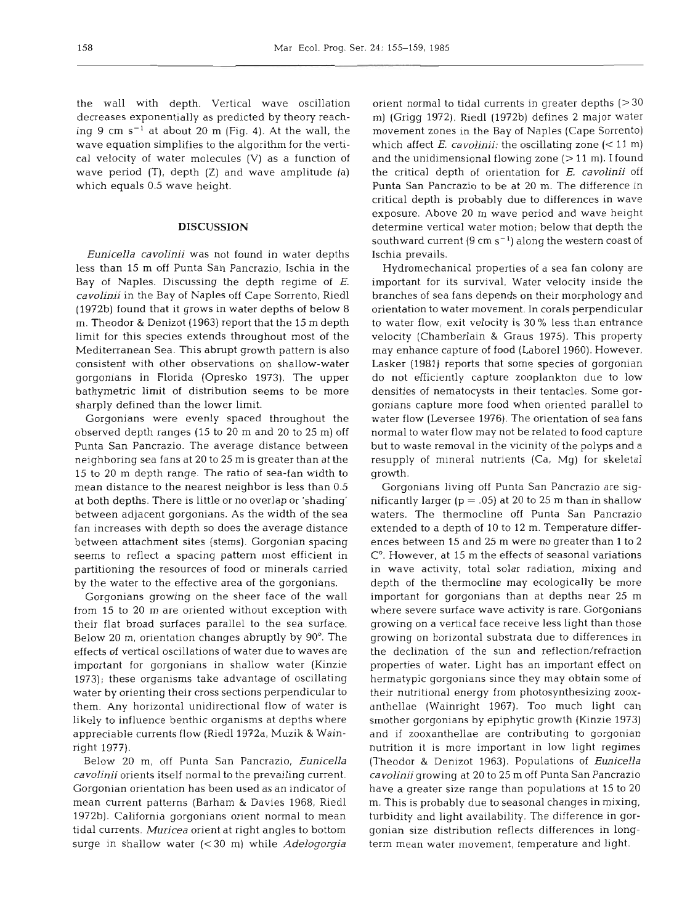the wall with depth. Vertical wave oscillation decreases exponentially as predicted by theory reaching 9 cm  $s^{-1}$  at about 20 m (Fig. 4). At the wall, the wave equation simplifies to the algorithm for the vertical velocity of water molecules (V) as a function of wave period (T), depth (Z) and wave amplitude (a) which equals 0.5 wave height.

### **DISCUSSION**

*Eunicella cavolinii* was not found in water depths less than 15 m off Punta San Pancrazio, Ischia in the Bay of Naples. Discussing the depth regime of  $E$ . *cavolinii* in the Bay of Naples off Cape Sorrento, Riedl (1972b) found that it grows in water depths of below 8 m. Theodor & Denizot (1963) report that the 15 m depth limit for this species extends throughout most of the Mediterranean Sea. This abrupt growth pattern is also consistent with other observations on shallow-water gorgonians in Florida (Opresko 1973). The upper bathymetric limit of distribution seems to be more sharply defined than the lower limit.

Gorgonians were evenly spaced throughout the observed depth ranges (15 to 20 m and 20 to 25 m) off Punta San Pancrazio. The average distance between neighboring sea fans at 20 to 25 m is greater than at the 15 to 20 m depth range. The ratio of sea-fan width to mean distance to the nearest neighbor is less than 0.5 at both depths. There is little or no overlap or 'shading' between adjacent gorgonians. As the width of the sea fan increases with depth so does the average distance between attachment sites (stems). Gorgonian spacing seems to reflect a spacing pattern most efficient in partitioning the resources of food or minerals carried by the water to the effective area of the gorgonians.

Gorgonians growing on the sheer face of the wall from 15 to 20 m are oriented without exception with their flat broad surfaces parallel to the sea surface. Below 20 m, orientation changes abruptly by 90". The effects of vertical oscillations of water due to waves are important for gorgonians in shallow water (Kinzie 1973); these organisms take advantage of oscillating water by orienting their cross sections perpendicular to them. Any horizontal unidirectional flow of water is likely to influence benthic organisms at depths where appreciable currents flow (Riedl 1972a, Muzik & Wainright 1977).

Below 20 m, off Punta San Pancrazio, *Eunicella cavolinii* orients itself normal to the prevailing current. Gorgonian orientation has been used as an indicator of mean current patterns (Barham & Davies 1968, Riedl 1972b). California gorgonians orient normal to mean tidal currents. *Muricea* orient at right angles to bottom surge in shallow water (< 30 m) while *Adelogorgia* 

orient normal to tidal currents in greater depths (> 30 m) (Grigg 1972). Riedl (1972b) defines 2 major water movement zones in the Bay of Naples (Cape Sorrento) which affect  $E$ . *cavolinii:* the oscillating zone  $(< 11 \text{ m})$ and the unidimensional flowing zone  $(>11 \text{ m})$ . I found the critical depth of orientation for E. *cavolinii* off Punta San Pancrazio to be at 20 m. The difference in critical depth is probably due to differences in wave exposure. Above 20 m wave period and wave height determine vertical water motion; below that depth the southward current  $(9 \text{ cm s}^{-1})$  along the western coast of Ischia prevails.

Hydromechanical properties of a sea fan colony are important for its survival. Water velocity inside the branches of sea fans depends on their morphology and orientation to water movement. In corals perpendicular to water flow, exit velocity is 30 % less than entrance velocity (Chamberlain & Graus 1975). This property may enhance capture of food (Laborel 1960). However, Lasker (1981) reports that some species of gorgonian do not efficiently capture zooplankton due to low densities of nematocysts in their tentacles. Some gorgonians capture more food when oriented parallel to water flow (Leversee 1976). The orientation of sea fans normal to water flow may not be related to food capture but to waste removal in the vicinity of the polyps and a resupply of mineral nutrients (Ca, Mg) for skeletal growth.

Gorgonians living off Punta San Pancrazio are significantly larger ( $p = .05$ ) at 20 to 25 m than in shallow waters. The thermocline off Punta San Pancrazio extended to a depth of 10 to 12 m. Temperature differences between 15 and 25 m were no greater than 1 to 2  $C<sup>o</sup>$ . However, at 15 m the effects of seasonal variations in wave activity, total solar radiation, mixing and depth of the thermocline may ecologically be more important for gorgonians than at depths near 25 m where severe surface wave activity is rare. Gorgonians growing on a vertical face receive less light than those growing on horizontal substrata due to differences in the declination of the sun and reflection/refraction properties of water. Light has an important effect on hermatypic gorgonians since they may obtain some of their nutritional energy from photosynthesizing zooxanthellae (Wainright 1967). Too much light can smother gorgonians by epiphytic growth (Kinzie 1973) and if zooxanthellae are contributing to gorgonian nutrition it is more important in low light regimes (Theodor & Denizot 1963). Populations of *Eunicella cavolinii* growing at 20 to 25 m off Punta San Pancrazio have a greater size range than populations at 15 to 20 m. This is probably due to seasonal changes in mixing, turbidity and light availability. The difference in gorgonian size distribution reflects differences in longterm mean water movement, temperature and light.